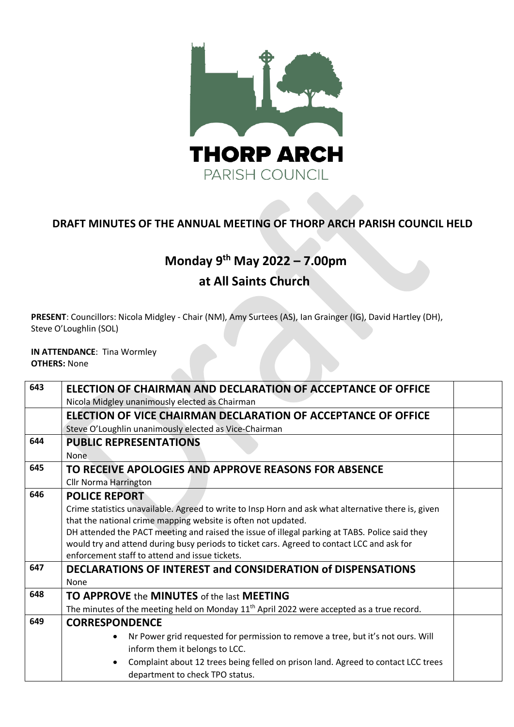

### **DRAFT MINUTES OF THE ANNUAL MEETING OF THORP ARCH PARISH COUNCIL HELD**

# **Monday 9 th May 2022 – 7.00pm**

## **at All Saints Church**

**PRESENT**: Councillors: Nicola Midgley - Chair (NM), Amy Surtees (AS), Ian Grainger (IG), David Hartley (DH), Steve O'Loughlin (SOL)

#### **IN ATTENDANCE**: Tina Wormley **OTHERS:** None

| 643 | ELECTION OF CHAIRMAN AND DECLARATION OF ACCEPTANCE OF OFFICE<br>Nicola Midgley unanimously elected as Chairman |  |
|-----|----------------------------------------------------------------------------------------------------------------|--|
|     | ELECTION OF VICE CHAIRMAN DECLARATION OF ACCEPTANCE OF OFFICE                                                  |  |
|     | Steve O'Loughlin unanimously elected as Vice-Chairman                                                          |  |
| 644 | <b>PUBLIC REPRESENTATIONS</b>                                                                                  |  |
|     | <b>None</b>                                                                                                    |  |
| 645 | TO RECEIVE APOLOGIES AND APPROVE REASONS FOR ABSENCE                                                           |  |
|     | <b>Cllr Norma Harrington</b>                                                                                   |  |
| 646 | <b>POLICE REPORT</b>                                                                                           |  |
|     | Crime statistics unavailable. Agreed to write to Insp Horn and ask what alternative there is, given            |  |
|     | that the national crime mapping website is often not updated.                                                  |  |
|     | DH attended the PACT meeting and raised the issue of illegal parking at TABS. Police said they                 |  |
|     | would try and attend during busy periods to ticket cars. Agreed to contact LCC and ask for                     |  |
|     | enforcement staff to attend and issue tickets.                                                                 |  |
| 647 | <b>DECLARATIONS OF INTEREST and CONSIDERATION of DISPENSATIONS</b>                                             |  |
|     | None                                                                                                           |  |
| 648 | <b>TO APPROVE the MINUTES of the last MEETING</b>                                                              |  |
|     | The minutes of the meeting held on Monday $11th$ April 2022 were accepted as a true record.                    |  |
| 649 | <b>CORRESPONDENCE</b>                                                                                          |  |
|     | Nr Power grid requested for permission to remove a tree, but it's not ours. Will                               |  |
|     | inform them it belongs to LCC.                                                                                 |  |
|     | Complaint about 12 trees being felled on prison land. Agreed to contact LCC trees                              |  |
|     | department to check TPO status.                                                                                |  |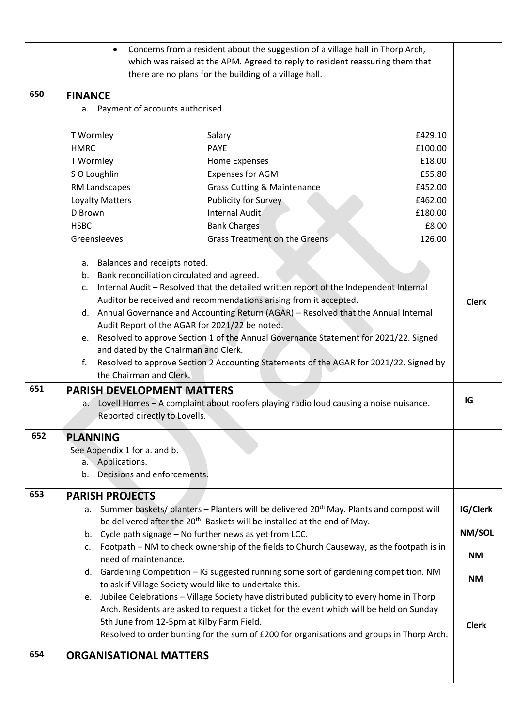|            | Concerns from a resident about the suggestion of a village hall in Thorp Arch,<br>which was raised at the APM. Agreed to reply to resident reassuring them that<br>there are no plans for the building of a village hall.                                                                                                                                                                                                                                                                                                                                                                                                                                                                                                                                                                                                                                                                                                                   |                                                              |
|------------|---------------------------------------------------------------------------------------------------------------------------------------------------------------------------------------------------------------------------------------------------------------------------------------------------------------------------------------------------------------------------------------------------------------------------------------------------------------------------------------------------------------------------------------------------------------------------------------------------------------------------------------------------------------------------------------------------------------------------------------------------------------------------------------------------------------------------------------------------------------------------------------------------------------------------------------------|--------------------------------------------------------------|
| 650        | <b>FINANCE</b><br>a. Payment of accounts authorised.                                                                                                                                                                                                                                                                                                                                                                                                                                                                                                                                                                                                                                                                                                                                                                                                                                                                                        |                                                              |
|            | T Wormley<br>Salary<br>£429.10<br><b>HMRC</b><br><b>PAYE</b><br>£100.00<br>£18.00<br>T Wormley<br>Home Expenses<br>SO Loughlin<br><b>Expenses for AGM</b><br>£55.80<br>RM Landscapes<br><b>Grass Cutting &amp; Maintenance</b><br>£452.00<br>Loyalty Matters<br>Publicity for Survey<br>£462.00<br>D Brown<br>Internal Audit<br>£180.00<br>£8.00<br><b>HSBC</b><br><b>Bank Charges</b><br>Greensleeves<br>Grass Treatment on the Greens<br>126.00                                                                                                                                                                                                                                                                                                                                                                                                                                                                                           |                                                              |
|            | a. Balances and receipts noted.<br>b. Bank reconciliation circulated and agreed.<br>c. Internal Audit - Resolved that the detailed written report of the Independent Internal<br>Auditor be received and recommendations arising from it accepted.<br>d. Annual Governance and Accounting Return (AGAR) - Resolved that the Annual Internal<br>Audit Report of the AGAR for 2021/22 be noted.<br>e. Resolved to approve Section 1 of the Annual Governance Statement for 2021/22. Signed<br>and dated by the Chairman and Clerk.<br>Resolved to approve Section 2 Accounting Statements of the AGAR for 2021/22. Signed by<br>f.<br>the Chairman and Clerk.                                                                                                                                                                                                                                                                                 | <b>Clerk</b>                                                 |
| 651        | <b>PARISH DEVELOPMENT MATTERS</b><br>a. Lovell Homes - A complaint about roofers playing radio loud causing a noise nuisance.<br>Reported directly to Lovells.                                                                                                                                                                                                                                                                                                                                                                                                                                                                                                                                                                                                                                                                                                                                                                              | IG                                                           |
| 652        | <b>PLANNING</b><br>See Appendix 1 for a. and b.<br>a. Applications.<br>b. Decisions and enforcements.                                                                                                                                                                                                                                                                                                                                                                                                                                                                                                                                                                                                                                                                                                                                                                                                                                       |                                                              |
| 653<br>654 | <b>PARISH PROJECTS</b><br>a. Summer baskets/ planters - Planters will be delivered 20 <sup>th</sup> May. Plants and compost will<br>be delivered after the 20 <sup>th</sup> . Baskets will be installed at the end of May.<br>b. Cycle path signage - No further news as yet from LCC.<br>c. Footpath - NM to check ownership of the fields to Church Causeway, as the footpath is in<br>need of maintenance.<br>Gardening Competition - IG suggested running some sort of gardening competition. NM<br>d.<br>to ask if Village Society would like to undertake this.<br>e. Jubilee Celebrations - Village Society have distributed publicity to every home in Thorp<br>Arch. Residents are asked to request a ticket for the event which will be held on Sunday<br>5th June from 12-5pm at Kilby Farm Field.<br>Resolved to order bunting for the sum of £200 for organisations and groups in Thorp Arch.<br><b>ORGANISATIONAL MATTERS</b> | IG/Clerk<br>NM/SOL<br><b>NM</b><br><b>NM</b><br><b>Clerk</b> |
|            |                                                                                                                                                                                                                                                                                                                                                                                                                                                                                                                                                                                                                                                                                                                                                                                                                                                                                                                                             |                                                              |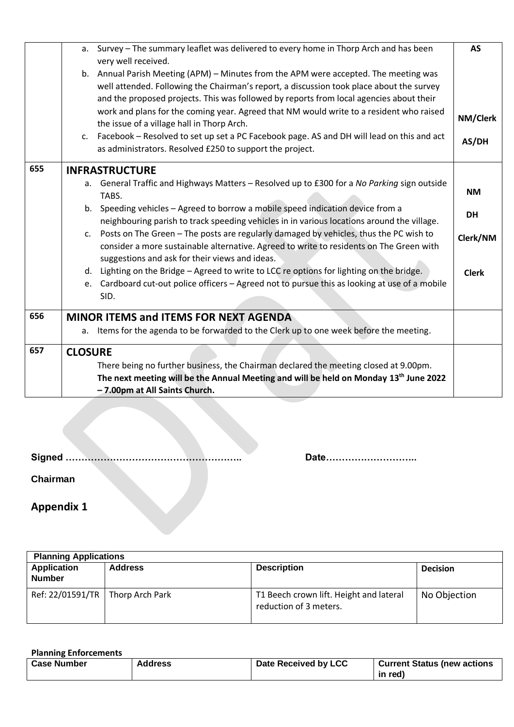|     |                | a. Survey - The summary leaflet was delivered to every home in Thorp Arch and has been<br>very well received.                                                                       | <b>AS</b>    |
|-----|----------------|-------------------------------------------------------------------------------------------------------------------------------------------------------------------------------------|--------------|
|     |                | b. Annual Parish Meeting (APM) - Minutes from the APM were accepted. The meeting was                                                                                                |              |
|     |                | well attended. Following the Chairman's report, a discussion took place about the survey                                                                                            |              |
|     |                | and the proposed projects. This was followed by reports from local agencies about their                                                                                             |              |
|     |                | work and plans for the coming year. Agreed that NM would write to a resident who raised                                                                                             | NM/Clerk     |
|     |                | the issue of a village hall in Thorp Arch.                                                                                                                                          |              |
|     |                | c. Facebook – Resolved to set up set a PC Facebook page. AS and DH will lead on this and act                                                                                        | AS/DH        |
|     |                | as administrators. Resolved £250 to support the project.                                                                                                                            |              |
| 655 |                | <b>INFRASTRUCTURE</b>                                                                                                                                                               |              |
|     |                | a. General Traffic and Highways Matters - Resolved up to £300 for a No Parking sign outside                                                                                         |              |
|     |                | TABS.                                                                                                                                                                               | <b>NM</b>    |
|     |                | b. Speeding vehicles - Agreed to borrow a mobile speed indication device from a                                                                                                     | <b>DH</b>    |
|     |                | neighbouring parish to track speeding vehicles in in various locations around the village.                                                                                          |              |
|     |                | c. Posts on The Green - The posts are regularly damaged by vehicles, thus the PC wish to<br>consider a more sustainable alternative. Agreed to write to residents on The Green with | Clerk/NM     |
|     |                | suggestions and ask for their views and ideas.                                                                                                                                      |              |
|     | d.             | Lighting on the Bridge - Agreed to write to LCC re options for lighting on the bridge.                                                                                              | <b>Clerk</b> |
|     |                | e. Cardboard cut-out police officers - Agreed not to pursue this as looking at use of a mobile                                                                                      |              |
|     |                | SID.                                                                                                                                                                                |              |
| 656 |                | <b>MINOR ITEMS and ITEMS FOR NEXT AGENDA</b>                                                                                                                                        |              |
|     | а.             | Items for the agenda to be forwarded to the Clerk up to one week before the meeting.                                                                                                |              |
| 657 | <b>CLOSURE</b> |                                                                                                                                                                                     |              |
|     |                | There being no further business, the Chairman declared the meeting closed at 9.00pm.                                                                                                |              |
|     |                | The next meeting will be the Annual Meeting and will be held on Monday 13 <sup>th</sup> June 2022                                                                                   |              |
|     |                | - 7.00pm at All Saints Church.                                                                                                                                                      |              |

**Signed ……………………………………………….. Date………………………..**

**Chairman** 

**Appendix 1**

| <b>Planning Applications</b>        |                 |                                                                   |                 |
|-------------------------------------|-----------------|-------------------------------------------------------------------|-----------------|
| <b>Application</b><br><b>Number</b> | <b>Address</b>  | <b>Description</b>                                                | <b>Decision</b> |
| Ref: 22/01591/TR                    | Thorp Arch Park | T1 Beech crown lift. Height and lateral<br>reduction of 3 meters. | No Objection    |

**Planning Enforcements**

| <b>Case Number</b> | <b>Address</b> | Date Received by LCC | <b>Current Status (new actions</b> |
|--------------------|----------------|----------------------|------------------------------------|
|                    |                |                      | in red)                            |